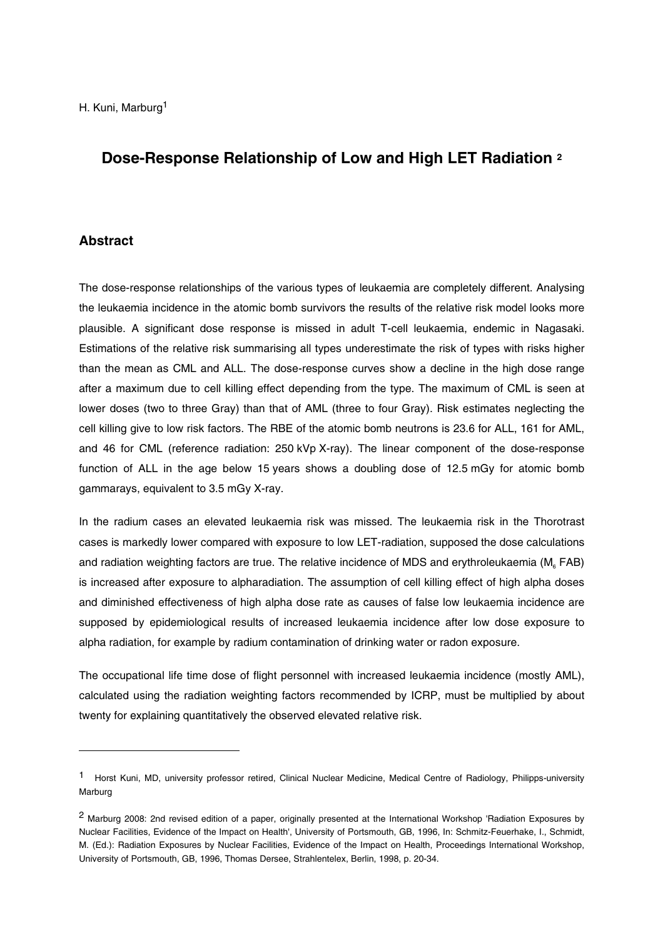# **Dose-Response Relationship of Low and High LET Radiation 2**

## **Abstract**

-

The dose-response relationships of the various types of leukaemia are completely different. Analysing the leukaemia incidence in the atomic bomb survivors the results of the relative risk model looks more plausible. A significant dose response is missed in adult T-cell leukaemia, endemic in Nagasaki. Estimations of the relative risk summarising all types underestimate the risk of types with risks higher than the mean as CML and ALL. The dose-response curves show a decline in the high dose range after a maximum due to cell killing effect depending from the type. The maximum of CML is seen at lower doses (two to three Gray) than that of AML (three to four Gray). Risk estimates neglecting the cell killing give to low risk factors. The RBE of the atomic bomb neutrons is 23.6 for ALL, 161 for AML, and 46 for CML (reference radiation: 250 kVp X-ray). The linear component of the dose-response function of ALL in the age below 15 years shows a doubling dose of 12.5 mGy for atomic bomb gammarays, equivalent to 3.5 mGy X-ray.

In the radium cases an elevated leukaemia risk was missed. The leukaemia risk in the Thorotrast cases is markedly lower compared with exposure to low LET-radiation, supposed the dose calculations and radiation weighting factors are true. The relative incidence of MDS and erythroleukaemia ( $M<sub>g</sub> FAB$ ) is increased after exposure to alpharadiation. The assumption of cell killing effect of high alpha doses and diminished effectiveness of high alpha dose rate as causes of false low leukaemia incidence are supposed by epidemiological results of increased leukaemia incidence after low dose exposure to alpha radiation, for example by radium contamination of drinking water or radon exposure.

The occupational life time dose of flight personnel with increased leukaemia incidence (mostly AML), calculated using the radiation weighting factors recommended by ICRP, must be multiplied by about twenty for explaining quantitatively the observed elevated relative risk.

<sup>1</sup> Horst Kuni, MD, university professor retired, Clinical Nuclear Medicine, Medical Centre of Radiology, Philipps-university Marburg

<sup>2</sup> Marburg 2008: 2nd revised edition of a paper, originally presented at the International Workshop 'Radiation Exposures by Nuclear Facilities, Evidence of the Impact on Health', University of Portsmouth, GB, 1996, In: Schmitz-Feuerhake, I., Schmidt, M. (Ed.): Radiation Exposures by Nuclear Facilities, Evidence of the Impact on Health, Proceedings International Workshop, University of Portsmouth, GB, 1996, Thomas Dersee, Strahlentelex, Berlin, 1998, p. 20-34.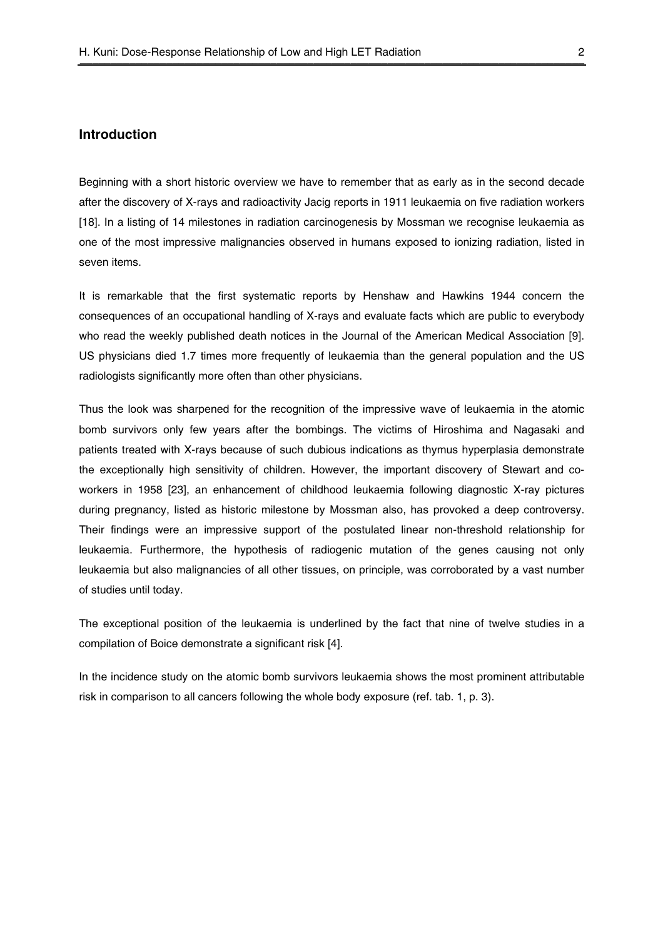## **Introduction**

Beginning with a short historic overview we have to remember that as early as in the second decade after the discovery of X-rays and radioactivity Jacig reports in 1911 leukaemia on five radiation workers [18]. In a listing of 14 milestones in radiation carcinogenesis by Mossman we recognise leukaemia as one of the most impressive malignancies observed in humans exposed to ionizing radiation, listed in seven items.

It is remarkable that the first systematic reports by Henshaw and Hawkins 1944 concern the consequences of an occupational handling of X-rays and evaluate facts which are public to everybody who read the weekly published death notices in the Journal of the American Medical Association [9]. US physicians died 1.7 times more frequently of leukaemia than the general population and the US radiologists significantly more often than other physicians.

Thus the look was sharpened for the recognition of the impressive wave of leukaemia in the atomic bomb survivors only few years after the bombings. The victims of Hiroshima and Nagasaki and patients treated with X-rays because of such dubious indications as thymus hyperplasia demonstrate the exceptionally high sensitivity of children. However, the important discovery of Stewart and coworkers in 1958 [23], an enhancement of childhood leukaemia following diagnostic X-ray pictures during pregnancy, listed as historic milestone by Mossman also, has provoked a deep controversy. Their findings were an impressive support of the postulated linear non-threshold relationship for leukaemia. Furthermore, the hypothesis of radiogenic mutation of the genes causing not only leukaemia but also malignancies of all other tissues, on principle, was corroborated by a vast number of studies until today.

The exceptional position of the leukaemia is underlined by the fact that nine of twelve studies in a compilation of Boice demonstrate a significant risk [4].

In the incidence study on the atomic bomb survivors leukaemia shows the most prominent attributable risk in comparison to all cancers following the whole body exposure (ref. tab. 1, p. 3).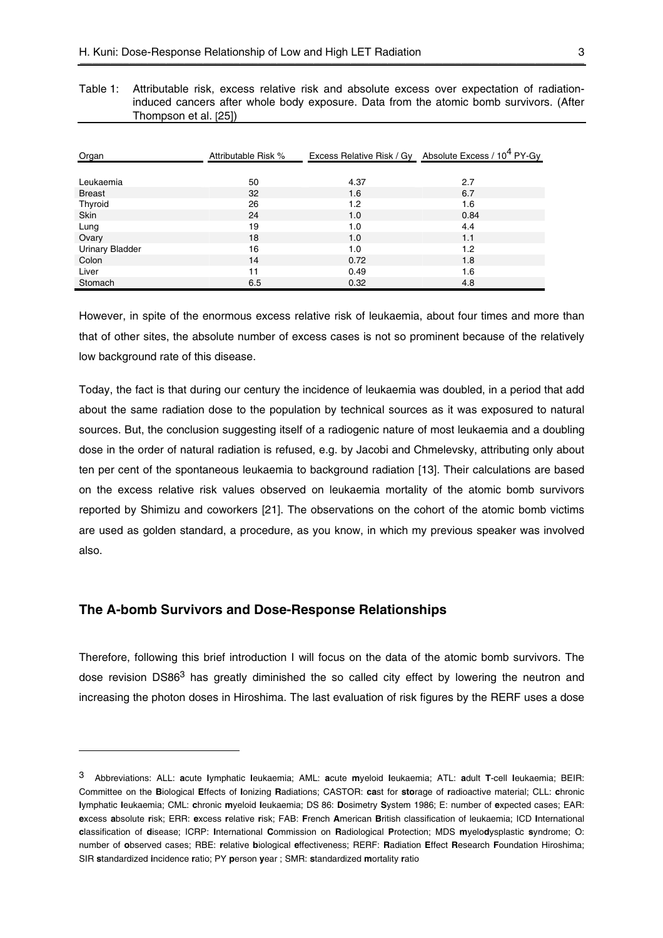| Table 1: Attributable risk, excess relative risk and absolute excess over expectation of radiation- |  |
|-----------------------------------------------------------------------------------------------------|--|
| induced cancers after whole body exposure. Data from the atomic bomb survivors. (After              |  |
| Thompson et al. [25])                                                                               |  |

| Organ                  | Attributable Risk % |      | Excess Relative Risk / Gy Absolute Excess / 10 <sup>4</sup> PY-Gy |
|------------------------|---------------------|------|-------------------------------------------------------------------|
|                        |                     |      |                                                                   |
| Leukaemia              | 50                  | 4.37 | 2.7                                                               |
| <b>Breast</b>          | 32                  | 1.6  | 6.7                                                               |
| Thyroid                | 26                  | 1.2  | 1.6                                                               |
| Skin                   | 24                  | 1.0  | 0.84                                                              |
| Lung                   | 19                  | 1.0  | 4.4                                                               |
| Ovary                  | 18                  | 1.0  | 1.1                                                               |
| <b>Urinary Bladder</b> | 16                  | 1.0  | 1.2                                                               |
| Colon                  | 14                  | 0.72 | 1.8                                                               |
| Liver                  | 11                  | 0.49 | 1.6                                                               |
| Stomach                | 6.5                 | 0.32 | 4.8                                                               |

However, in spite of the enormous excess relative risk of leukaemia, about four times and more than that of other sites, the absolute number of excess cases is not so prominent because of the relatively low background rate of this disease.

Today, the fact is that during our century the incidence of leukaemia was doubled, in a period that add about the same radiation dose to the population by technical sources as it was exposured to natural sources. But, the conclusion suggesting itself of a radiogenic nature of most leukaemia and a doubling dose in the order of natural radiation is refused, e.g. by Jacobi and Chmelevsky, attributing only about ten per cent of the spontaneous leukaemia to background radiation [13]. Their calculations are based on the excess relative risk values observed on leukaemia mortality of the atomic bomb survivors reported by Shimizu and coworkers [21]. The observations on the cohort of the atomic bomb victims are used as golden standard, a procedure, as you know, in which my previous speaker was involved also.

## **The A-bomb Survivors and Dose-Response Relationships**

-

Therefore, following this brief introduction I will focus on the data of the atomic bomb survivors. The dose revision DS86<sup>3</sup> has greatly diminished the so called city effect by lowering the neutron and increasing the photon doses in Hiroshima. The last evaluation of risk figures by the RERF uses a dose

<sup>3</sup> Abbreviations: ALL: **a**cute **l**ymphatic **l**eukaemia; AML: **a**cute **m**yeloid **l**eukaemia; ATL: **a**dult **T**-cell **l**eukaemia; BEIR: Committee on the **B**iological **E**ffects of **I**onizing **R**adiations; CASTOR: **ca**st for **sto**rage of **r**adioactive material; CLL: **c**hronic **l**ymphatic **l**eukaemia; CML: **c**hronic **m**yeloid **l**eukaemia; DS 86: **D**osimetry **S**ystem 1986; E: number of **e**xpected cases; EAR: **e**xcess **a**bsolute **r**isk; ERR: **e**xcess **r**elative **r**isk; FAB: **F**rench **A**merican **B**ritish classification of leukaemia; ICD **I**nternational **c**lassification of **d**isease; ICRP: **I**nternational **C**ommission on **R**adiological **P**rotection; MDS **m**yelo**d**ysplastic **s**yndrome; O: number of **o**bserved cases; RBE: **r**elative **b**iological **e**ffectiveness; RERF: **R**adiation **E**ffect **R**esearch **F**oundation Hiroshima; SIR **s**tandardized **i**ncidence **r**atio; PY **p**erson **y**ear ; SMR: **s**tandardized **m**ortality **r**atio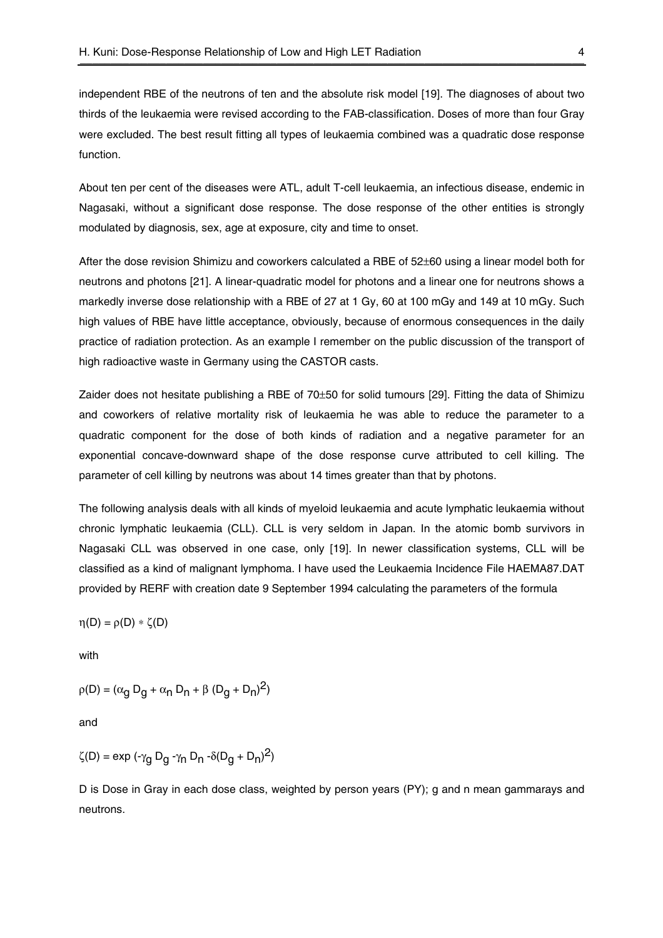independent RBE of the neutrons of ten and the absolute risk model [19]. The diagnoses of about two thirds of the leukaemia were revised according to the FAB-classification. Doses of more than four Gray were excluded. The best result fitting all types of leukaemia combined was a quadratic dose response function.

About ten per cent of the diseases were ATL, adult T-cell leukaemia, an infectious disease, endemic in Nagasaki, without a significant dose response. The dose response of the other entities is strongly modulated by diagnosis, sex, age at exposure, city and time to onset.

After the dose revision Shimizu and coworkers calculated a RBE of 52±60 using a linear model both for neutrons and photons [21]. A linear-quadratic model for photons and a linear one for neutrons shows a markedly inverse dose relationship with a RBE of 27 at 1 Gy, 60 at 100 mGy and 149 at 10 mGy. Such high values of RBE have little acceptance, obviously, because of enormous consequences in the daily practice of radiation protection. As an example I remember on the public discussion of the transport of high radioactive waste in Germany using the CASTOR casts.

Zaider does not hesitate publishing a RBE of 70±50 for solid tumours [29]. Fitting the data of Shimizu and coworkers of relative mortality risk of leukaemia he was able to reduce the parameter to a quadratic component for the dose of both kinds of radiation and a negative parameter for an exponential concave-downward shape of the dose response curve attributed to cell killing. The parameter of cell killing by neutrons was about 14 times greater than that by photons.

The following analysis deals with all kinds of myeloid leukaemia and acute lymphatic leukaemia without chronic lymphatic leukaemia (CLL). CLL is very seldom in Japan. In the atomic bomb survivors in Nagasaki CLL was observed in one case, only [19]. In newer classification systems, CLL will be classified as a kind of malignant lymphoma. I have used the Leukaemia Incidence File HAEMA87.DAT provided by RERF with creation date 9 September 1994 calculating the parameters of the formula

$$
\eta(D) = \rho(D) * \zeta(D)
$$

with

$$
\rho(D)=(\alpha_g\,D_g+\alpha_n\,D_n+\beta\,(D_g+D_n)^2)
$$

and

$$
\zeta(D) = \text{exp} \; (\text{-}\gamma_g \; D_g \; \text{-}\gamma_n \; D_n \; \text{-}\delta(D_g + D_n)^2)
$$

D is Dose in Gray in each dose class, weighted by person years (PY); g and n mean gammarays and neutrons.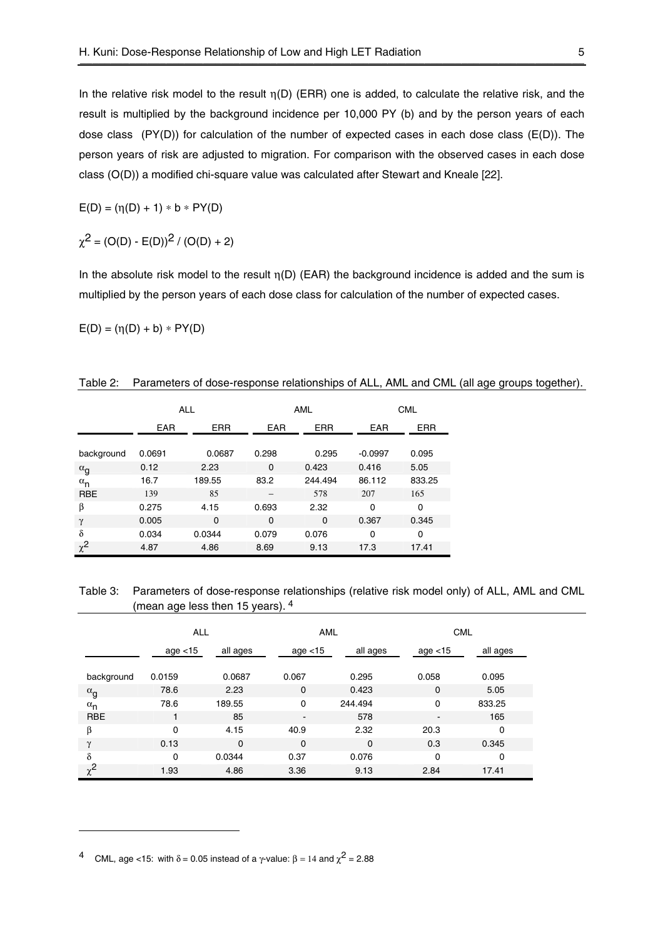In the relative risk model to the result  $\eta(D)$  (ERR) one is added, to calculate the relative risk, and the result is multiplied by the background incidence per 10,000 PY (b) and by the person years of each dose class (PY(D)) for calculation of the number of expected cases in each dose class (E(D)). The person years of risk are adjusted to migration. For comparison with the observed cases in each dose class (O(D)) a modified chi-square value was calculated after Stewart and Kneale [22].

$$
E(D) = (\eta(D) + 1) * b * PY(D)
$$

$$
\chi^2 = (O(D) - E(D))^2 / (O(D) + 2)
$$

In the absolute risk model to the result  $\eta(D)$  (EAR) the background incidence is added and the sum is multiplied by the person years of each dose class for calculation of the number of expected cases.

 $E(D) = (\eta(D) + b) * PY(D)$ 

|              | <b>ALL</b> |             | AML        |             |            | <b>CML</b> |  |
|--------------|------------|-------------|------------|-------------|------------|------------|--|
|              | <b>EAR</b> | <b>ERR</b>  | <b>EAR</b> | <b>ERR</b>  | <b>EAR</b> | <b>ERR</b> |  |
| background   | 0.0691     | 0.0687      | 0.298      | 0.295       | $-0.0997$  | 0.095      |  |
| $\alpha_g$   | 0.12       | 2.23        | 0          | 0.423       | 0.416      | 5.05       |  |
| $\alpha_{n}$ | 16.7       | 189.55      | 83.2       | 244.494     | 86.112     | 833.25     |  |
| <b>RBE</b>   | 139        | 85          |            | 578         | 207        | 165        |  |
| β            | 0.275      | 4.15        | 0.693      | 2.32        | 0          | 0          |  |
| γ            | 0.005      | $\mathbf 0$ | 0          | $\mathbf 0$ | 0.367      | 0.345      |  |
| δ            | 0.034      | 0.0344      | 0.079      | 0.076       | 0          | $\Omega$   |  |
| $\chi^2$     | 4.87       | 4.86        | 8.69       | 9.13        | 17.3       | 17.41      |  |

| Table 2: Parameters of dose-response relationships of ALL, AML and CML (all age groups together). |  |  |  |
|---------------------------------------------------------------------------------------------------|--|--|--|
|                                                                                                   |  |  |  |

Table 3: Parameters of dose-response relationships (relative risk model only) of ALL, AML and CML (mean age less then 15 years). 4

|                       | <b>ALL</b> |             | AML            |             | <b>CML</b>     |          |
|-----------------------|------------|-------------|----------------|-------------|----------------|----------|
|                       | age < 15   | all ages    | age $<$ 15     | all ages    | age $<$ 15     | all ages |
| background            | 0.0159     | 0.0687      | 0.067          | 0.295       | 0.058          | 0.095    |
| $\alpha$ <sub>g</sub> | 78.6       | 2.23        | $\mathbf 0$    | 0.423       | 0              | 5.05     |
| $\alpha_{n}$          | 78.6       | 189.55      | $\Omega$       | 244.494     | 0              | 833.25   |
| <b>RBE</b>            | 1          | 85          | $\blacksquare$ | 578         | $\blacksquare$ | 165      |
| β                     | 0          | 4.15        | 40.9           | 2.32        | 20.3           | 0        |
| $\mathcal V$          | 0.13       | $\mathbf 0$ | $\mathbf 0$    | $\mathbf 0$ | 0.3            | 0.345    |
| δ                     | $\Omega$   | 0.0344      | 0.37           | 0.076       | 0              | 0        |
| $\chi^2$              | 1.93       | 4.86        | 3.36           | 9.13        | 2.84           | 17.41    |

-

CML, age <15: with  $\delta$  = 0.05 instead of a  $\gamma$ -value:  $\beta$  = 14 and  $\chi^2$  = 2.88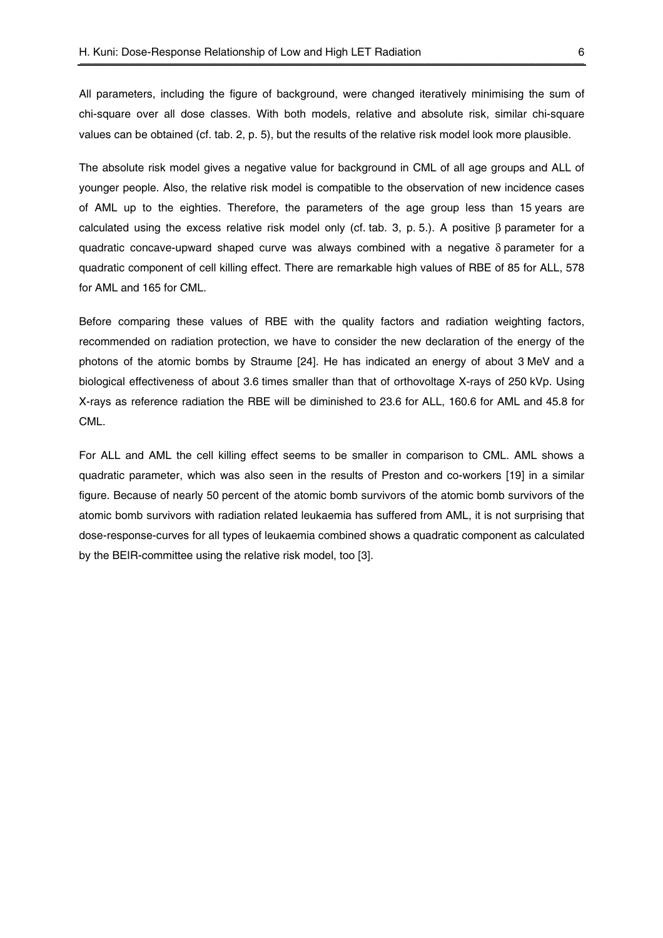All parameters, including the figure of background, were changed iteratively minimising the sum of chi-square over all dose classes. With both models, relative and absolute risk, similar chi-square values can be obtained (cf. tab. 2, p. 5), but the results of the relative risk model look more plausible.

The absolute risk model gives a negative value for background in CML of all age groups and ALL of younger people. Also, the relative risk model is compatible to the observation of new incidence cases of AML up to the eighties. Therefore, the parameters of the age group less than 15 years are calculated using the excess relative risk model only (cf. tab. 3, p. 5.). A positive  $\beta$  parameter for a quadratic concave-upward shaped curve was always combined with a negative  $\delta$  parameter for a quadratic component of cell killing effect. There are remarkable high values of RBE of 85 for ALL, 578 for AML and 165 for CML.

Before comparing these values of RBE with the quality factors and radiation weighting factors, recommended on radiation protection, we have to consider the new declaration of the energy of the photons of the atomic bombs by Straume [24]. He has indicated an energy of about 3 MeV and a biological effectiveness of about 3.6 times smaller than that of orthovoltage X-rays of 250 kVp. Using X-rays as reference radiation the RBE will be diminished to 23.6 for ALL, 160.6 for AML and 45.8 for CML.

For ALL and AML the cell killing effect seems to be smaller in comparison to CML. AML shows a quadratic parameter, which was also seen in the results of Preston and co-workers [19] in a similar figure. Because of nearly 50 percent of the atomic bomb survivors of the atomic bomb survivors of the atomic bomb survivors with radiation related leukaemia has suffered from AML, it is not surprising that dose-response-curves for all types of leukaemia combined shows a quadratic component as calculated by the BEIR-committee using the relative risk model, too [3].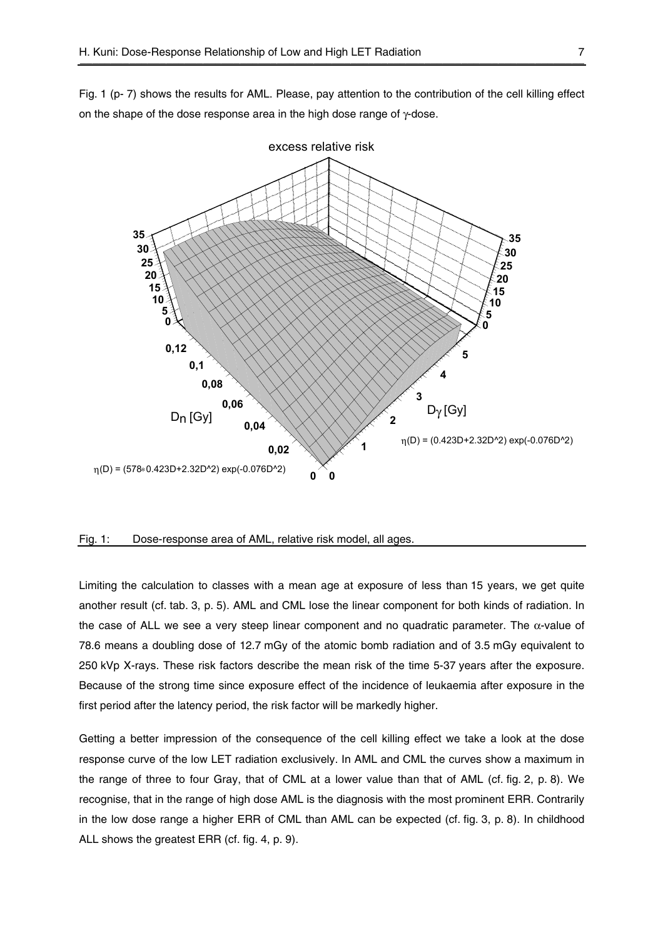Fig. 1 (p- 7) shows the results for AML. Please, pay attention to the contribution of the cell killing effect on the shape of the dose response area in the high dose range of γ-dose.



#### Fig. 1: Dose-response area of AML, relative risk model, all ages.

Limiting the calculation to classes with a mean age at exposure of less than 15 years, we get quite another result (cf. tab. 3, p. 5). AML and CML lose the linear component for both kinds of radiation. In the case of ALL we see a very steep linear component and no quadratic parameter. The  $\alpha$ -value of 78.6 means a doubling dose of 12.7 mGy of the atomic bomb radiation and of 3.5 mGy equivalent to 250 kVp X-rays. These risk factors describe the mean risk of the time 5-37 years after the exposure. Because of the strong time since exposure effect of the incidence of leukaemia after exposure in the first period after the latency period, the risk factor will be markedly higher.

Getting a better impression of the consequence of the cell killing effect we take a look at the dose response curve of the low LET radiation exclusively. In AML and CML the curves show a maximum in the range of three to four Gray, that of CML at a lower value than that of AML (cf. fig. 2, p. 8). We recognise, that in the range of high dose AML is the diagnosis with the most prominent ERR. Contrarily in the low dose range a higher ERR of CML than AML can be expected (cf. fig. 3, p. 8). In childhood ALL shows the greatest ERR (cf. fig. 4, p. 9).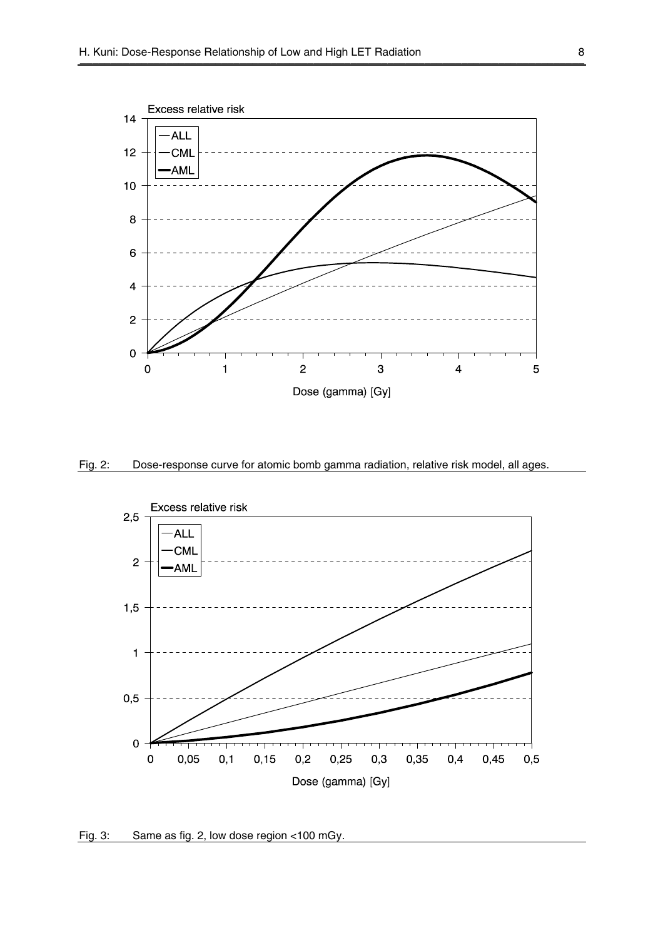





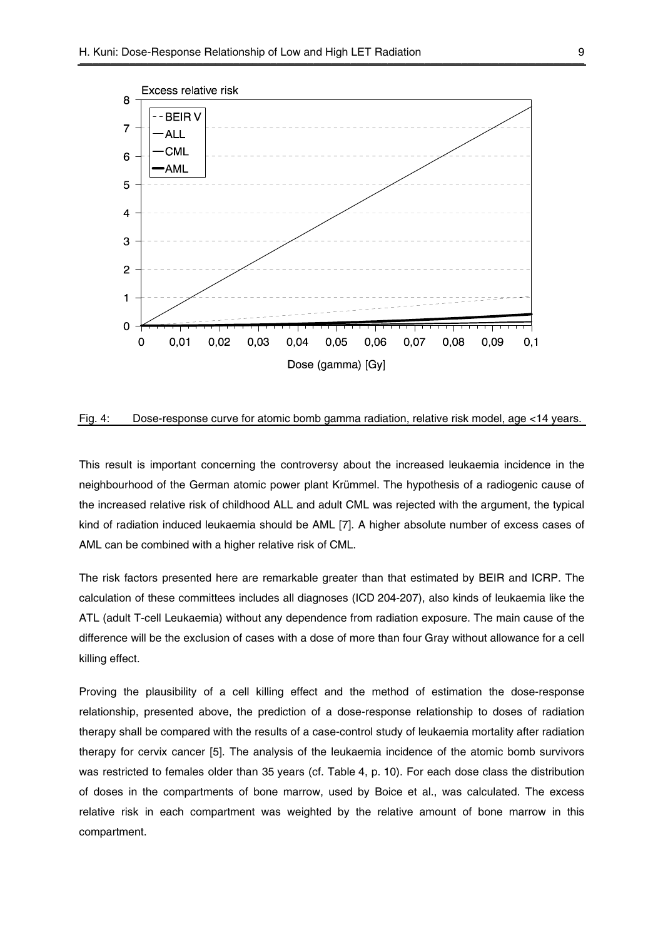

Fig. 4: Dose-response curve for atomic bomb gamma radiation, relative risk model, age <14 years.

This result is important concerning the controversy about the increased leukaemia incidence in the neighbourhood of the German atomic power plant Krümmel. The hypothesis of a radiogenic cause of the increased relative risk of childhood ALL and adult CML was rejected with the argument, the typical kind of radiation induced leukaemia should be AML [7]. A higher absolute number of excess cases of AML can be combined with a higher relative risk of CML.

The risk factors presented here are remarkable greater than that estimated by BEIR and ICRP. The calculation of these committees includes all diagnoses (ICD 204-207), also kinds of leukaemia like the ATL (adult T-cell Leukaemia) without any dependence from radiation exposure. The main cause of the difference will be the exclusion of cases with a dose of more than four Gray without allowance for a cell killing effect.

Proving the plausibility of a cell killing effect and the method of estimation the dose-response relationship, presented above, the prediction of a dose-response relationship to doses of radiation therapy shall be compared with the results of a case-control study of leukaemia mortality after radiation therapy for cervix cancer [5]. The analysis of the leukaemia incidence of the atomic bomb survivors was restricted to females older than 35 years (cf. Table 4, p. 10). For each dose class the distribution of doses in the compartments of bone marrow, used by Boice et al., was calculated. The excess relative risk in each compartment was weighted by the relative amount of bone marrow in this compartment.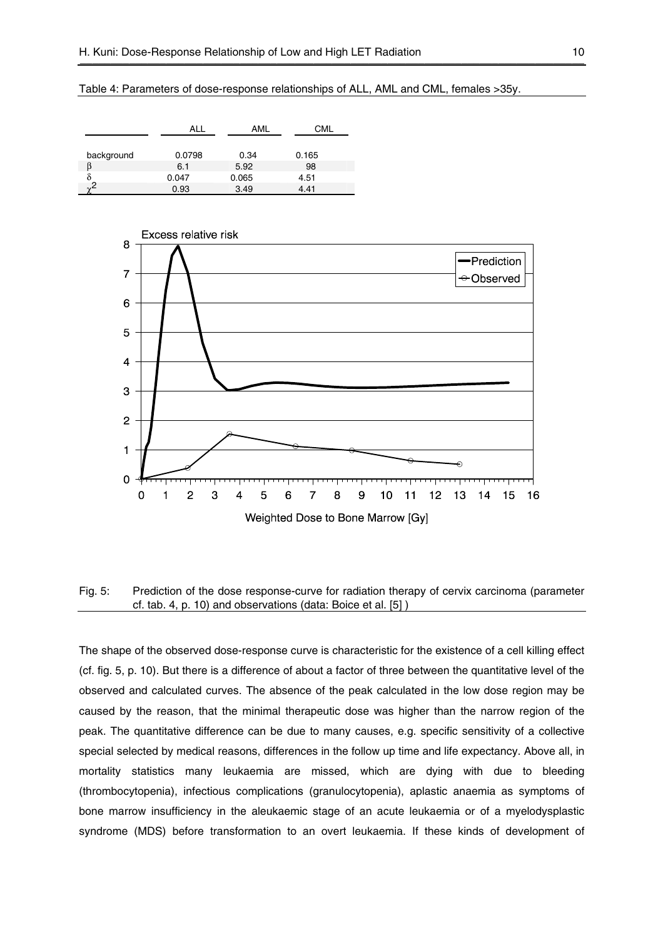Table 4: Parameters of dose-response relationships of ALL, AML and CML, females >35y.

|            |        | AMI   |       |
|------------|--------|-------|-------|
|            |        |       |       |
| background | 0.0798 | 0.34  | 0.165 |
|            | 6.1    | 5.92  | 98    |
|            | 0.047  | 0.065 | 4.51  |
| $\sim$     | 0.93   | 3.49  | 4.41  |



## Fig. 5: Prediction of the dose response-curve for radiation therapy of cervix carcinoma (parameter cf. tab. 4, p. 10) and observations (data: Boice et al. [5] )

The shape of the observed dose-response curve is characteristic for the existence of a cell killing effect (cf. fig. 5, p. 10). But there is a difference of about a factor of three between the quantitative level of the observed and calculated curves. The absence of the peak calculated in the low dose region may be caused by the reason, that the minimal therapeutic dose was higher than the narrow region of the peak. The quantitative difference can be due to many causes, e.g. specific sensitivity of a collective special selected by medical reasons, differences in the follow up time and life expectancy. Above all, in mortality statistics many leukaemia are missed, which are dying with due to bleeding (thrombocytopenia), infectious complications (granulocytopenia), aplastic anaemia as symptoms of bone marrow insufficiency in the aleukaemic stage of an acute leukaemia or of a myelodysplastic syndrome (MDS) before transformation to an overt leukaemia. If these kinds of development of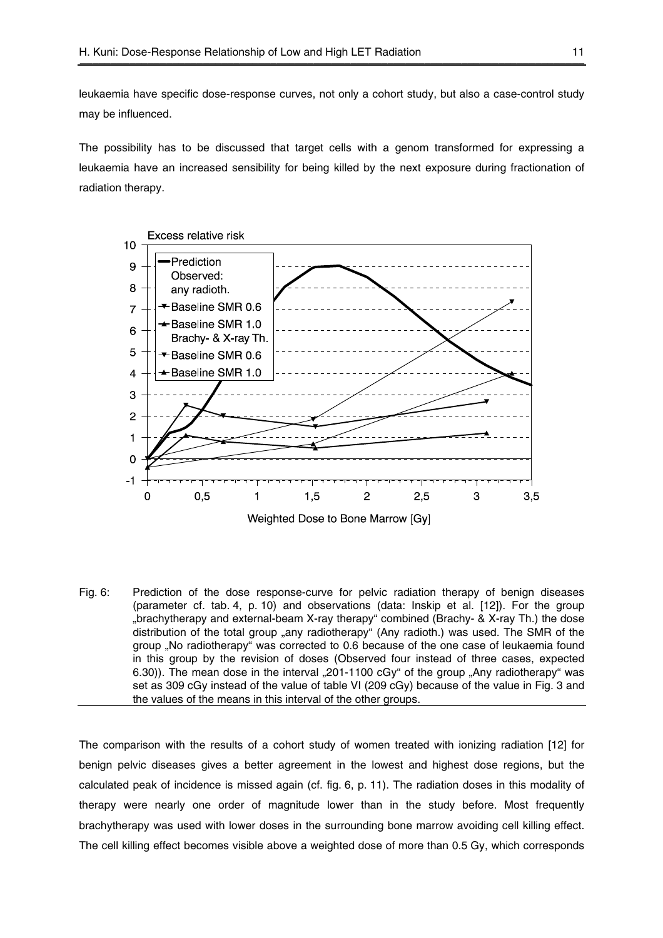leukaemia have specific dose-response curves, not only a cohort study, but also a case-control study may be influenced.

The possibility has to be discussed that target cells with a genom transformed for expressing a leukaemia have an increased sensibility for being killed by the next exposure during fractionation of radiation therapy.



Fig. 6: Prediction of the dose response-curve for pelvic radiation therapy of benign diseases (parameter cf. tab. 4, p. 10) and observations (data: Inskip et al. [12]). For the group "brachytherapy and external-beam X-ray therapy" combined (Brachy- & X-ray Th.) the dose distribution of the total group "any radiotherapy" (Any radioth.) was used. The SMR of the group "No radiotherapy" was corrected to 0.6 because of the one case of leukaemia found in this group by the revision of doses (Observed four instead of three cases, expected 6.30)). The mean dose in the interval  $_{n}$ 201-1100 cGy" of the group  $_{n}$ Any radiotherapy" was set as 309 cGy instead of the value of table VI (209 cGy) because of the value in Fig. 3 and the values of the means in this interval of the other groups.

The comparison with the results of a cohort study of women treated with ionizing radiation [12] for benign pelvic diseases gives a better agreement in the lowest and highest dose regions, but the calculated peak of incidence is missed again (cf. fig. 6, p. 11). The radiation doses in this modality of therapy were nearly one order of magnitude lower than in the study before. Most frequently brachytherapy was used with lower doses in the surrounding bone marrow avoiding cell killing effect. The cell killing effect becomes visible above a weighted dose of more than 0.5 Gy, which corresponds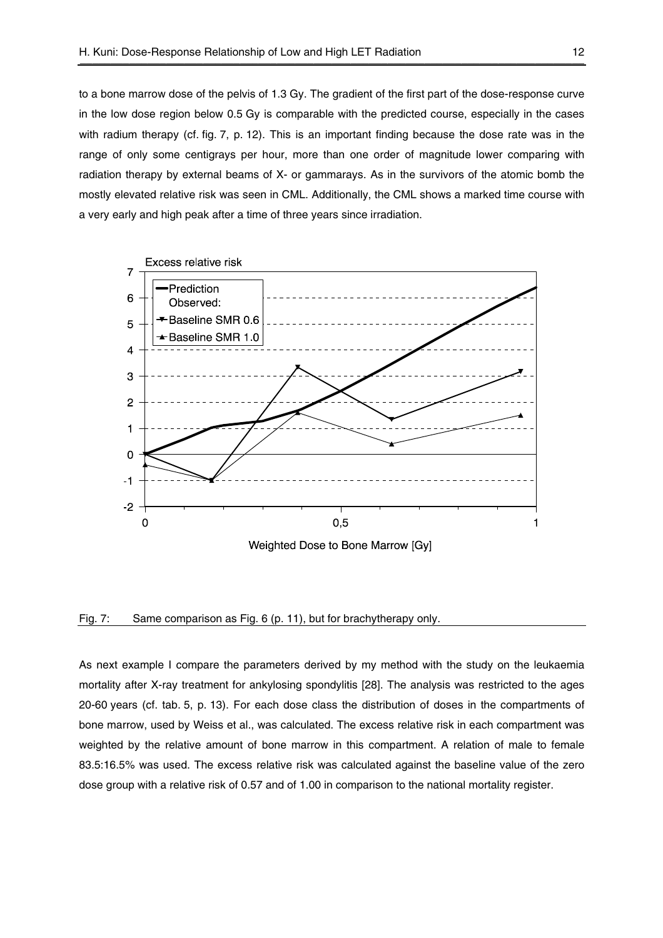to a bone marrow dose of the pelvis of 1.3 Gy. The gradient of the first part of the dose-response curve in the low dose region below 0.5 Gy is comparable with the predicted course, especially in the cases with radium therapy (cf. fig. 7, p. 12). This is an important finding because the dose rate was in the range of only some centigrays per hour, more than one order of magnitude lower comparing with radiation therapy by external beams of X- or gammarays. As in the survivors of the atomic bomb the mostly elevated relative risk was seen in CML. Additionally, the CML shows a marked time course with a very early and high peak after a time of three years since irradiation.



Weighted Dose to Bone Marrow [Gy]

#### Fig. 7: Same comparison as Fig. 6 (p. 11), but for brachytherapy only.

As next example I compare the parameters derived by my method with the study on the leukaemia mortality after X-ray treatment for ankylosing spondylitis [28]. The analysis was restricted to the ages 20-60 years (cf. tab. 5, p. 13). For each dose class the distribution of doses in the compartments of bone marrow, used by Weiss et al., was calculated. The excess relative risk in each compartment was weighted by the relative amount of bone marrow in this compartment. A relation of male to female 83.5:16.5% was used. The excess relative risk was calculated against the baseline value of the zero dose group with a relative risk of 0.57 and of 1.00 in comparison to the national mortality register.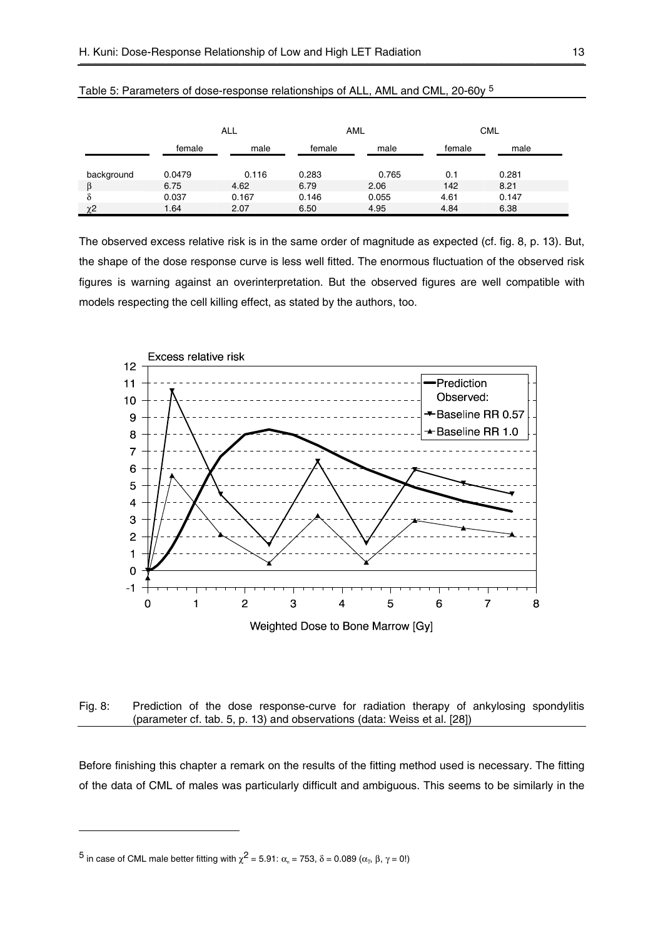|            |        | <b>ALL</b> |        | <b>AML</b> |        | <b>CML</b> |
|------------|--------|------------|--------|------------|--------|------------|
|            | female | male       | female | male       | female | male       |
| background | 0.0479 | 0.116      | 0.283  | 0.765      | 0.1    | 0.281      |
|            | 6.75   | 4.62       | 6.79   | 2.06       | 142    | 8.21       |
| δ          | 0.037  | 0.167      | 0.146  | 0.055      | 4.61   | 0.147      |
| χ2         | 1.64   | 2.07       | 6.50   | 4.95       | 4.84   | 6.38       |

| Table 5: Parameters of dose-response relationships of ALL, AML and CML, 20-60y <sup>5</sup> |  |
|---------------------------------------------------------------------------------------------|--|
|                                                                                             |  |

The observed excess relative risk is in the same order of magnitude as expected (cf. fig. 8, p. 13). But, the shape of the dose response curve is less well fitted. The enormous fluctuation of the observed risk figures is warning against an overinterpretation. But the observed figures are well compatible with models respecting the cell killing effect, as stated by the authors, too.



### Fig. 8: Prediction of the dose response-curve for radiation therapy of ankylosing spondylitis (parameter cf. tab. 5, p. 13) and observations (data: Weiss et al. [28])

Before finishing this chapter a remark on the results of the fitting method used is necessary. The fitting of the data of CML of males was particularly difficult and ambiguous. This seems to be similarly in the

<sup>5</sup> in case of CML male better fitting with  $\chi^2$  = 5.91:  $\alpha_n$  = 753, δ = 0.089 ( $\alpha_\gamma$ , β,  $\gamma$  = 0!)

-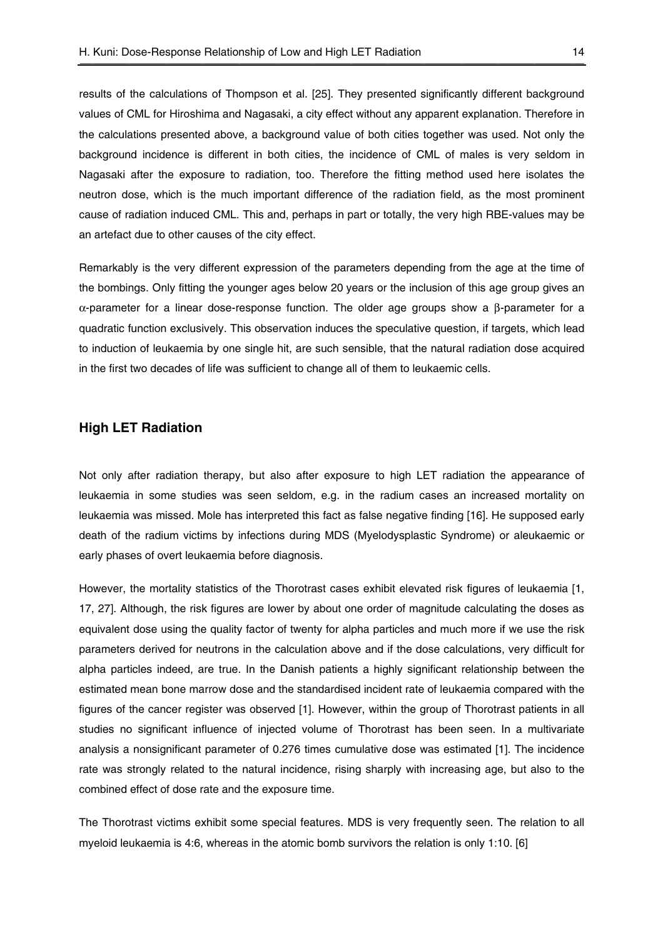results of the calculations of Thompson et al. [25]. They presented significantly different background values of CML for Hiroshima and Nagasaki, a city effect without any apparent explanation. Therefore in the calculations presented above, a background value of both cities together was used. Not only the background incidence is different in both cities, the incidence of CML of males is very seldom in Nagasaki after the exposure to radiation, too. Therefore the fitting method used here isolates the neutron dose, which is the much important difference of the radiation field, as the most prominent cause of radiation induced CML. This and, perhaps in part or totally, the very high RBE-values may be an artefact due to other causes of the city effect.

Remarkably is the very different expression of the parameters depending from the age at the time of the bombings. Only fitting the younger ages below 20 years or the inclusion of this age group gives an α-parameter for a linear dose-response function. The older age groups show a β-parameter for a quadratic function exclusively. This observation induces the speculative question, if targets, which lead to induction of leukaemia by one single hit, are such sensible, that the natural radiation dose acquired in the first two decades of life was sufficient to change all of them to leukaemic cells.

## **High LET Radiation**

Not only after radiation therapy, but also after exposure to high LET radiation the appearance of leukaemia in some studies was seen seldom, e.g. in the radium cases an increased mortality on leukaemia was missed. Mole has interpreted this fact as false negative finding [16]. He supposed early death of the radium victims by infections during MDS (Myelodysplastic Syndrome) or aleukaemic or early phases of overt leukaemia before diagnosis.

However, the mortality statistics of the Thorotrast cases exhibit elevated risk figures of leukaemia [1, 17, 27]. Although, the risk figures are lower by about one order of magnitude calculating the doses as equivalent dose using the quality factor of twenty for alpha particles and much more if we use the risk parameters derived for neutrons in the calculation above and if the dose calculations, very difficult for alpha particles indeed, are true. In the Danish patients a highly significant relationship between the estimated mean bone marrow dose and the standardised incident rate of leukaemia compared with the figures of the cancer register was observed [1]. However, within the group of Thorotrast patients in all studies no significant influence of injected volume of Thorotrast has been seen. In a multivariate analysis a nonsignificant parameter of 0.276 times cumulative dose was estimated [1]. The incidence rate was strongly related to the natural incidence, rising sharply with increasing age, but also to the combined effect of dose rate and the exposure time.

The Thorotrast victims exhibit some special features. MDS is very frequently seen. The relation to all myeloid leukaemia is 4:6, whereas in the atomic bomb survivors the relation is only 1:10. [6]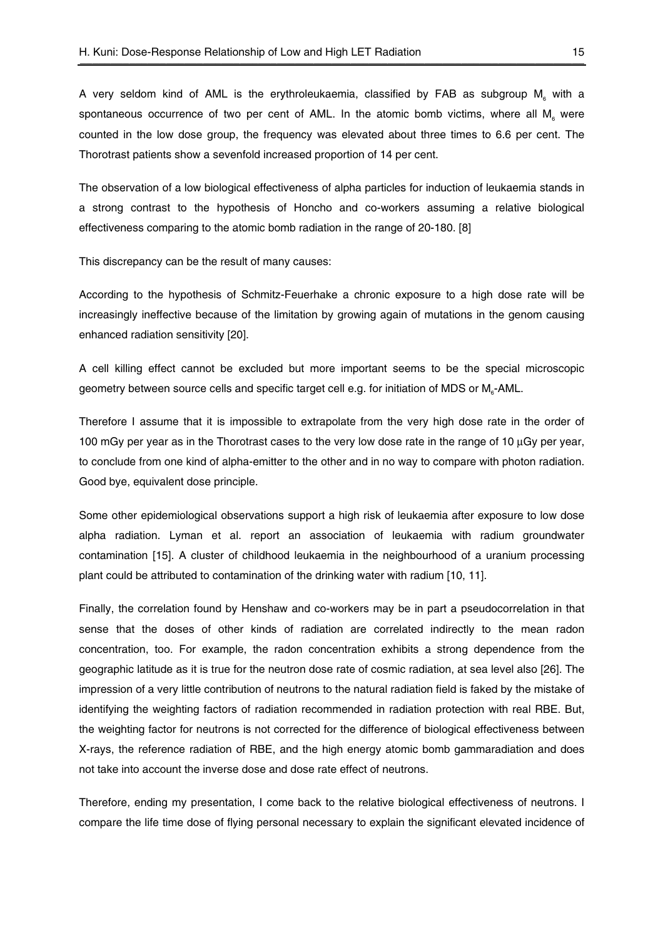A very seldom kind of AML is the erythroleukaemia, classified by FAB as subgroup M, with a spontaneous occurrence of two per cent of AML. In the atomic bomb victims, where all  $M<sub>a</sub>$  were counted in the low dose group, the frequency was elevated about three times to 6.6 per cent. The Thorotrast patients show a sevenfold increased proportion of 14 per cent.

The observation of a low biological effectiveness of alpha particles for induction of leukaemia stands in a strong contrast to the hypothesis of Honcho and co-workers assuming a relative biological effectiveness comparing to the atomic bomb radiation in the range of 20-180. [8]

This discrepancy can be the result of many causes:

According to the hypothesis of Schmitz-Feuerhake a chronic exposure to a high dose rate will be increasingly ineffective because of the limitation by growing again of mutations in the genom causing enhanced radiation sensitivity [20].

A cell killing effect cannot be excluded but more important seems to be the special microscopic geometry between source cells and specific target cell e.g. for initiation of MDS or M<sub>6</sub>-AML.

Therefore I assume that it is impossible to extrapolate from the very high dose rate in the order of 100 mGy per year as in the Thorotrast cases to the very low dose rate in the range of 10  $\mu$ Gy per year, to conclude from one kind of alpha-emitter to the other and in no way to compare with photon radiation. Good bye, equivalent dose principle.

Some other epidemiological observations support a high risk of leukaemia after exposure to low dose alpha radiation. Lyman et al. report an association of leukaemia with radium groundwater contamination [15]. A cluster of childhood leukaemia in the neighbourhood of a uranium processing plant could be attributed to contamination of the drinking water with radium [10, 11].

Finally, the correlation found by Henshaw and co-workers may be in part a pseudocorrelation in that sense that the doses of other kinds of radiation are correlated indirectly to the mean radon concentration, too. For example, the radon concentration exhibits a strong dependence from the geographic latitude as it is true for the neutron dose rate of cosmic radiation, at sea level also [26]. The impression of a very little contribution of neutrons to the natural radiation field is faked by the mistake of identifying the weighting factors of radiation recommended in radiation protection with real RBE. But, the weighting factor for neutrons is not corrected for the difference of biological effectiveness between X-rays, the reference radiation of RBE, and the high energy atomic bomb gammaradiation and does not take into account the inverse dose and dose rate effect of neutrons.

Therefore, ending my presentation, I come back to the relative biological effectiveness of neutrons. I compare the life time dose of flying personal necessary to explain the significant elevated incidence of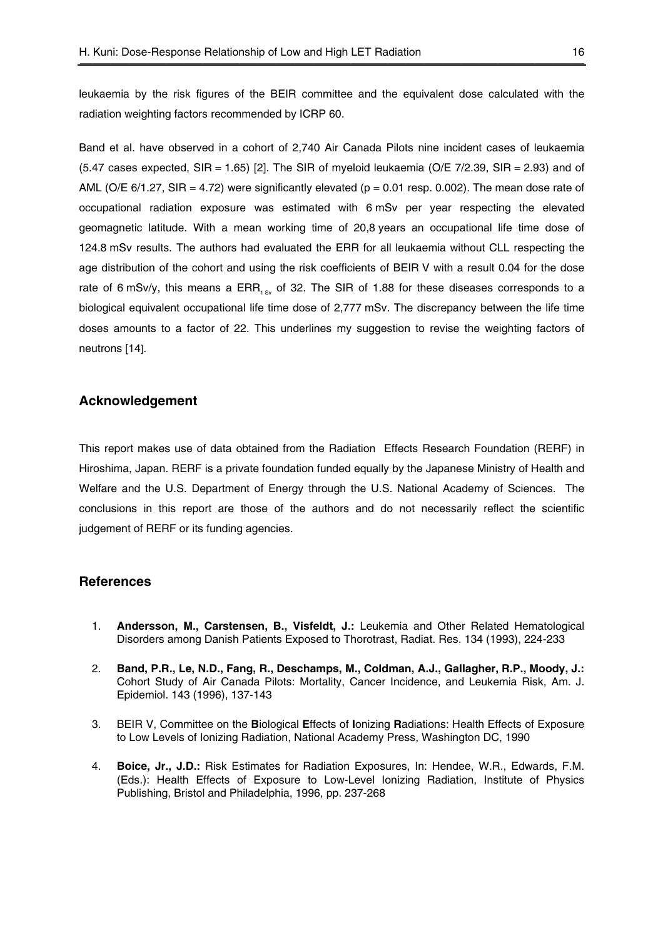leukaemia by the risk figures of the BEIR committee and the equivalent dose calculated with the radiation weighting factors recommended by ICRP 60.

Band et al. have observed in a cohort of 2,740 Air Canada Pilots nine incident cases of leukaemia  $(5.47 \text{ cases expected. SIR} = 1.65)$  [2]. The SIR of myeloid leukaemia  $(O/E \, Z/2.39)$ . SIR = 2.93) and of AML (O/E  $6/1.27$ , SIR = 4.72) were significantly elevated ( $p = 0.01$  resp. 0.002). The mean dose rate of occupational radiation exposure was estimated with 6 mSv per year respecting the elevated geomagnetic latitude. With a mean working time of 20,8 years an occupational life time dose of 124.8 mSv results. The authors had evaluated the ERR for all leukaemia without CLL respecting the age distribution of the cohort and using the risk coefficients of BEIR V with a result 0.04 for the dose rate of 6 mSv/y, this means a ERR<sub>1</sub> of 32. The SIR of 1.88 for these diseases corresponds to a biological equivalent occupational life time dose of 2,777 mSv. The discrepancy between the life time doses amounts to a factor of 22. This underlines my suggestion to revise the weighting factors of neutrons [14].

## **Acknowledgement**

This report makes use of data obtained from the Radiation Effects Research Foundation (RERF) in Hiroshima, Japan. RERF is a private foundation funded equally by the Japanese Ministry of Health and Welfare and the U.S. Department of Energy through the U.S. National Academy of Sciences. The conclusions in this report are those of the authors and do not necessarily reflect the scientific judgement of RERF or its funding agencies.

## **References**

- 1. **Andersson, M., Carstensen, B., Visfeldt, J.:** Leukemia and Other Related Hematological Disorders among Danish Patients Exposed to Thorotrast, Radiat. Res. 134 (1993), 224-233
- 2. **Band, P.R., Le, N.D., Fang, R., Deschamps, M., Coldman, A.J., Gallagher, R.P., Moody, J.:** Cohort Study of Air Canada Pilots: Mortality, Cancer Incidence, and Leukemia Risk, Am. J. Epidemiol. 143 (1996), 137-143
- 3. BEIR V, Committee on the **B**iological **E**ffects of **I**onizing **R**adiations: Health Effects of Exposure to Low Levels of Ionizing Radiation, National Academy Press, Washington DC, 1990
- 4. **Boice, Jr., J.D.:** Risk Estimates for Radiation Exposures, In: Hendee, W.R., Edwards, F.M. (Eds.): Health Effects of Exposure to Low-Level Ionizing Radiation, Institute of Physics Publishing, Bristol and Philadelphia, 1996, pp. 237-268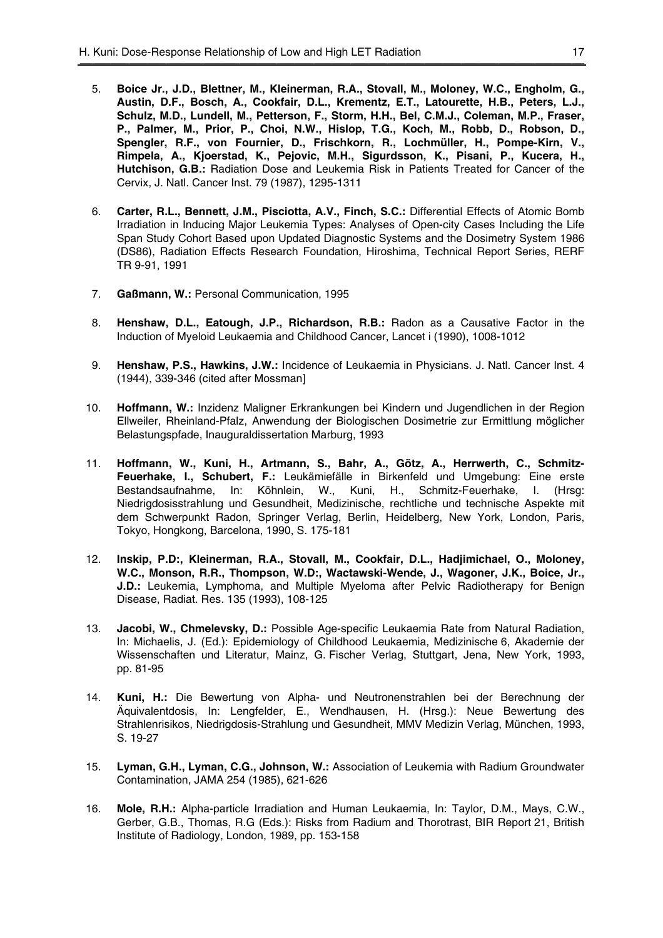- 5. **Boice Jr., J.D., Blettner, M., Kleinerman, R.A., Stovall, M., Moloney, W.C., Engholm, G., Austin, D.F., Bosch, A., Cookfair, D.L., Krementz, E.T., Latourette, H.B., Peters, L.J., Schulz, M.D., Lundell, M., Petterson, F., Storm, H.H., Bel, C.M.J., Coleman, M.P., Fraser, P., Palmer, M., Prior, P., Choi, N.W., Hislop, T.G., Koch, M., Robb, D., Robson, D., Spengler, R.F., von Fournier, D., Frischkorn, R., Lochmüller, H., Pompe-Kirn, V., Rimpela, A., Kjoerstad, K., Pejovic, M.H., Sigurdsson, K., Pisani, P., Kucera, H., Hutchison, G.B.:** Radiation Dose and Leukemia Risk in Patients Treated for Cancer of the Cervix, J. Natl. Cancer Inst. 79 (1987), 1295-1311
- 6. **Carter, R.L., Bennett, J.M., Pisciotta, A.V., Finch, S.C.:** Differential Effects of Atomic Bomb Irradiation in Inducing Major Leukemia Types: Analyses of Open-city Cases Including the Life Span Study Cohort Based upon Updated Diagnostic Systems and the Dosimetry System 1986 (DS86), Radiation Effects Research Foundation, Hiroshima, Technical Report Series, RERF TR 9-91, 1991
- 7. **Gaßmann, W.:** Personal Communication, 1995
- 8. **Henshaw, D.L., Eatough, J.P., Richardson, R.B.:** Radon as a Causative Factor in the Induction of Myeloid Leukaemia and Childhood Cancer, Lancet i (1990), 1008-1012
- 9. **Henshaw, P.S., Hawkins, J.W.:** Incidence of Leukaemia in Physicians. J. Natl. Cancer Inst. 4 (1944), 339-346 (cited after Mossman]
- 10. **Hoffmann, W.:** Inzidenz Maligner Erkrankungen bei Kindern und Jugendlichen in der Region Ellweiler, Rheinland-Pfalz, Anwendung der Biologischen Dosimetrie zur Ermittlung möglicher Belastungspfade, Inauguraldissertation Marburg, 1993
- 11. **Hoffmann, W., Kuni, H., Artmann, S., Bahr, A., Götz, A., Herrwerth, C., Schmitz-Feuerhake, I., Schubert, F.:** Leukämiefälle in Birkenfeld und Umgebung: Eine erste Bestandsaufnahme, In: Köhnlein, W., Kuni, H., Schmitz-Feuerhake, I. (Hrsg: Niedrigdosisstrahlung und Gesundheit, Medizinische, rechtliche und technische Aspekte mit dem Schwerpunkt Radon, Springer Verlag, Berlin, Heidelberg, New York, London, Paris, Tokyo, Hongkong, Barcelona, 1990, S. 175-181
- 12. **Inskip, P.D:, Kleinerman, R.A., Stovall, M., Cookfair, D.L., Hadjimichael, O., Moloney, W.C., Monson, R.R., Thompson, W.D:, Wactawski-Wende, J., Wagoner, J.K., Boice, Jr., J.D.:** Leukemia, Lymphoma, and Multiple Myeloma after Pelvic Radiotherapy for Benign Disease, Radiat. Res. 135 (1993), 108-125
- 13. **Jacobi, W., Chmelevsky, D.:** Possible Age-specific Leukaemia Rate from Natural Radiation, In: Michaelis, J. (Ed.): Epidemiology of Childhood Leukaemia, Medizinische 6, Akademie der Wissenschaften und Literatur, Mainz, G. Fischer Verlag, Stuttgart, Jena, New York, 1993, pp. 81-95
- 14. **Kuni, H.:** Die Bewertung von Alpha- und Neutronenstrahlen bei der Berechnung der Äquivalentdosis, In: Lengfelder, E., Wendhausen, H. (Hrsg.): Neue Bewertung des Strahlenrisikos, Niedrigdosis-Strahlung und Gesundheit, MMV Medizin Verlag, München, 1993, S. 19-27
- 15. **Lyman, G.H., Lyman, C.G., Johnson, W.:** Association of Leukemia with Radium Groundwater Contamination, JAMA 254 (1985), 621-626
- 16. **Mole, R.H.:** Alpha-particle Irradiation and Human Leukaemia, In: Taylor, D.M., Mays, C.W., Gerber, G.B., Thomas, R.G (Eds.): Risks from Radium and Thorotrast, BIR Report 21, British Institute of Radiology, London, 1989, pp. 153-158